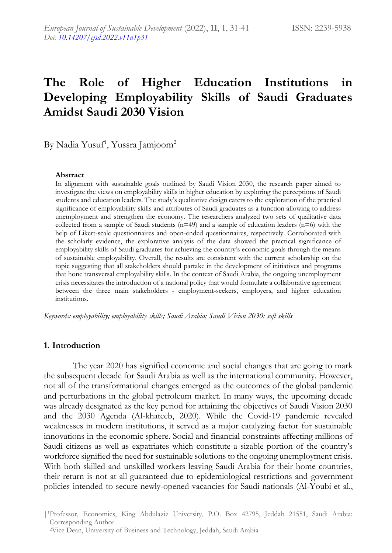# **The Role of Higher Education Institutions in Developing Employability Skills of Saudi Graduates Amidst Saudi 2030 Vision**

By Nadia Yusuf<sup>1</sup>, Yussra Jamjoom<sup>2</sup>

#### **Abstract**

In alignment with sustainable goals outlined by Saudi Vision 2030, the research paper aimed to investigate the views on employability skills in higher education by exploring the perceptions of Saudi students and education leaders. The study's qualitative design caters to the exploration of the practical significance of employability skills and attributes of Saudi graduates as a function allowing to address unemployment and strengthen the economy. The researchers analyzed two sets of qualitative data collected from a sample of Saudi students (n=49) and a sample of education leaders (n=6) with the help of Likert-scale questionnaires and open-ended questionnaires, respectively. Corroborated with the scholarly evidence, the explorative analysis of the data showed the practical significance of employability skills of Saudi graduates for achieving the country's economic goals through the means of sustainable employability. Overall, the results are consistent with the current scholarship on the topic suggesting that all stakeholders should partake in the development of initiatives and programs that hone transversal employability skills. In the context of Saudi Arabia, the ongoing unemployment crisis necessitates the introduction of a national policy that would formulate a collaborative agreement between the three main stakeholders - employment-seekers, employers, and higher education institutions.

*Keywords: employability; employability skills; Saudi Arabia; Saudi Vision 2030; soft skills*

### **1. Introduction**

The year 2020 has signified economic and social changes that are going to mark the subsequent decade for Saudi Arabia as well as the international community. However, not all of the transformational changes emerged as the outcomes of the global pandemic and perturbations in the global petroleum market. In many ways, the upcoming decade was already designated as the key period for attaining the objectives of Saudi Vision 2030 and the 2030 Agenda (Al-khateeb, 2020). While the Covid-19 pandemic revealed weaknesses in modern institutions, it served as a major catalyzing factor for sustainable innovations in the economic sphere. Social and financial constraints affecting millions of Saudi citizens as well as expatriates which constitute a sizable portion of the country's workforce signified the need for sustainable solutions to the ongoing unemployment crisis. With both skilled and unskilled workers leaving Saudi Arabia for their home countries, their return is not at all guaranteed due to epidemiological restrictions and government policies intended to secure newly-opened vacancies for Saudi nationals (Al-Youbi et al.,

|1Professor, Economics, King Abdulaziz University, P.O. Box 42795, Jeddah 21551, Saudi Arabia; Corresponding Author

<sup>2</sup>Vice Dean, University of Business and Technology, Jeddah, Saudi Arabia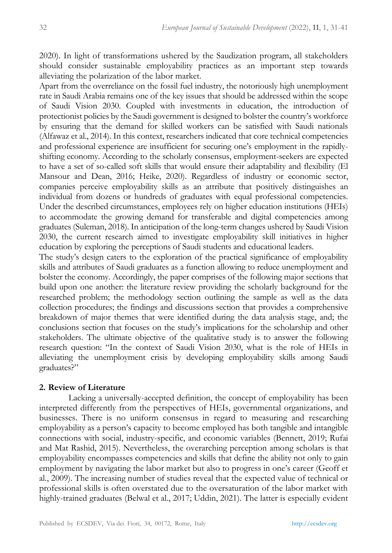2020). In light of transformations ushered by the Saudization program, all stakeholders should consider sustainable employability practices as an important step towards alleviating the polarization of the labor market.

Apart from the overreliance on the fossil fuel industry, the notoriously high unemployment rate in Saudi Arabia remains one of the key issues that should be addressed within the scope of Saudi Vision 2030. Coupled with investments in education, the introduction of protectionist policies by the Saudi government is designed to bolster the country's workforce by ensuring that the demand for skilled workers can be satisfied with Saudi nationals (Alfawaz et al., 2014). In this context, researchers indicated that core technical competencies and professional experience are insufficient for securing one's employment in the rapidlyshifting economy. According to the scholarly consensus, employment-seekers are expected to have a set of so-called soft skills that would ensure their adaptability and flexibility (El Mansour and Dean, 2016; Heike, 2020). Regardless of industry or economic sector, companies perceive employability skills as an attribute that positively distinguishes an individual from dozens or hundreds of graduates with equal professional competencies. Under the described circumstances, employees rely on higher education institutions (HEIs) to accommodate the growing demand for transferable and digital competencies among graduates (Suleman, 2018). In anticipation of the long-term changes ushered by Saudi Vision 2030, the current research aimed to investigate employability skill initiatives in higher education by exploring the perceptions of Saudi students and educational leaders.

The study's design caters to the exploration of the practical significance of employability skills and attributes of Saudi graduates as a function allowing to reduce unemployment and bolster the economy. Accordingly, the paper comprises of the following major sections that build upon one another: the literature review providing the scholarly background for the researched problem; the methodology section outlining the sample as well as the data collection procedures; the findings and discussions section that provides a comprehensive breakdown of major themes that were identified during the data analysis stage, and; the conclusions section that focuses on the study's implications for the scholarship and other stakeholders. The ultimate objective of the qualitative study is to answer the following research question: "In the context of Saudi Vision 2030, what is the role of HEIs in alleviating the unemployment crisis by developing employability skills among Saudi graduates?"

## **2. Review of Literature**

Lacking a universally-accepted definition, the concept of employability has been interpreted differently from the perspectives of HEIs, governmental organizations, and businesses. There is no uniform consensus in regard to measuring and researching employability as a person's capacity to become employed has both tangible and intangible connections with social, industry-specific, and economic variables (Bennett, 2019; Rufai and Mat Rashid, 2015). Nevertheless, the overarching perception among scholars is that employability encompasses competencies and skills that define the ability not only to gain employment by navigating the labor market but also to progress in one's career (Geoff et al., 2009). The increasing number of studies reveal that the expected value of technical or professional skills is often overstated due to the oversaturation of the labor market with highly-trained graduates (Belwal et al., 2017; Uddin, 2021). The latter is especially evident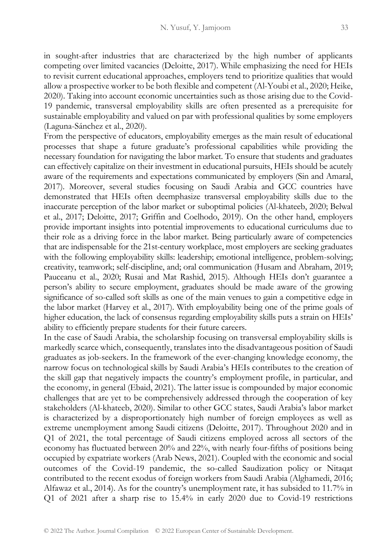in sought-after industries that are characterized by the high number of applicants competing over limited vacancies (Deloitte, 2017). While emphasizing the need for HEIs to revisit current educational approaches, employers tend to prioritize qualities that would allow a prospective worker to be both flexible and competent (Al-Youbi et al., 2020; Heike, 2020). Taking into account economic uncertainties such as those arising due to the Covid-19 pandemic, transversal employability skills are often presented as a prerequisite for sustainable employability and valued on par with professional qualities by some employers (Laguna-Sánchez et al., 2020).

From the perspective of educators, employability emerges as the main result of educational processes that shape a future graduate's professional capabilities while providing the necessary foundation for navigating the labor market. To ensure that students and graduates can effectively capitalize on their investment in educational pursuits, HEIs should be acutely aware of the requirements and expectations communicated by employers (Sin and Amaral, 2017). Moreover, several studies focusing on Saudi Arabia and GCC countries have demonstrated that HEIs often deemphasize transversal employability skills due to the inaccurate perception of the labor market or suboptimal policies (Al-khateeb, 2020; Belwal et al., 2017; Deloitte, 2017; Griffin and Coelhodo, 2019). On the other hand, employers provide important insights into potential improvements to educational curriculums due to their role as a driving force in the labor market. Being particularly aware of competencies that are indispensable for the 21st-century workplace, most employers are seeking graduates with the following employability skills: leadership; emotional intelligence, problem-solving; creativity, teamwork; self-discipline, and; oral communication (Husam and Abraham, 2019; Pauceanu et al., 2020; Rusai and Mat Rashid, 2015). Although HEIs don't guarantee a person's ability to secure employment, graduates should be made aware of the growing significance of so-called soft skills as one of the main venues to gain a competitive edge in the labor market (Harvey et al., 2017). With employability being one of the prime goals of higher education, the lack of consensus regarding employability skills puts a strain on HEIs' ability to efficiently prepare students for their future careers.

In the case of Saudi Arabia, the scholarship focusing on transversal employability skills is markedly scarce which, consequently, translates into the disadvantageous position of Saudi graduates as job-seekers. In the framework of the ever-changing knowledge economy, the narrow focus on technological skills by Saudi Arabia's HEIs contributes to the creation of the skill gap that negatively impacts the country's employment profile, in particular, and the economy, in general (Ebaid, 2021). The latter issue is compounded by major economic challenges that are yet to be comprehensively addressed through the cooperation of key stakeholders (Al-khateeb, 2020). Similar to other GCC states, Saudi Arabia's labor market is characterized by a disproportionately high number of foreign employees as well as extreme unemployment among Saudi citizens (Deloitte, 2017). Throughout 2020 and in Q1 of 2021, the total percentage of Saudi citizens employed across all sectors of the economy has fluctuated between 20% and 22%, with nearly four-fifths of positions being occupied by expatriate workers (Arab News, 2021). Coupled with the economic and social outcomes of the Covid-19 pandemic, the so-called Saudization policy or Nitaqat contributed to the recent exodus of foreign workers from Saudi Arabia (Alghamedi, 2016; Alfawaz et al., 2014). As for the country's unemployment rate, it has subsided to 11.7% in Q1 of 2021 after a sharp rise to 15.4% in early 2020 due to Covid-19 restrictions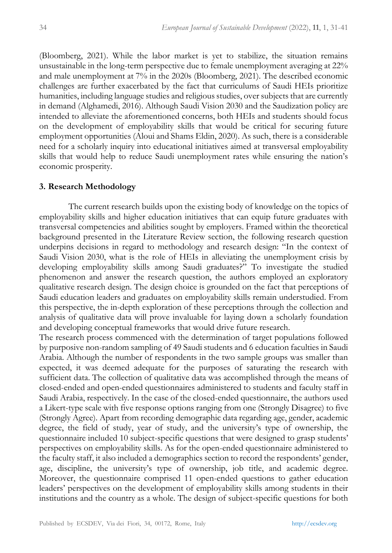(Bloomberg, 2021). While the labor market is yet to stabilize, the situation remains unsustainable in the long-term perspective due to female unemployment averaging at 22% and male unemployment at 7% in the 2020s (Bloomberg, 2021). The described economic challenges are further exacerbated by the fact that curriculums of Saudi HEIs prioritize humanities, including language studies and religious studies, over subjects that are currently in demand (Alghamedi, 2016). Although Saudi Vision 2030 and the Saudization policy are intended to alleviate the aforementioned concerns, both HEIs and students should focus on the development of employability skills that would be critical for securing future employment opportunities (Aloui and Shams Eldin, 2020). As such, there is a considerable need for a scholarly inquiry into educational initiatives aimed at transversal employability skills that would help to reduce Saudi unemployment rates while ensuring the nation's economic prosperity.

#### **3. Research Methodology**

The current research builds upon the existing body of knowledge on the topics of employability skills and higher education initiatives that can equip future graduates with transversal competencies and abilities sought by employers. Framed within the theoretical background presented in the Literature Review section, the following research question underpins decisions in regard to methodology and research design: "In the context of Saudi Vision 2030, what is the role of HEIs in alleviating the unemployment crisis by developing employability skills among Saudi graduates?" To investigate the studied phenomenon and answer the research question, the authors employed an exploratory qualitative research design. The design choice is grounded on the fact that perceptions of Saudi education leaders and graduates on employability skills remain understudied. From this perspective, the in-depth exploration of these perceptions through the collection and analysis of qualitative data will prove invaluable for laying down a scholarly foundation and developing conceptual frameworks that would drive future research.

The research process commenced with the determination of target populations followed by purposive non-random sampling of 49 Saudi students and 6 education faculties in Saudi Arabia. Although the number of respondents in the two sample groups was smaller than expected, it was deemed adequate for the purposes of saturating the research with sufficient data. The collection of qualitative data was accomplished through the means of closed-ended and open-ended questionnaires administered to students and faculty staff in Saudi Arabia, respectively. In the case of the closed-ended questionnaire, the authors used a Likert-type scale with five response options ranging from one (Strongly Disagree) to five (Strongly Agree). Apart from recording demographic data regarding age, gender, academic degree, the field of study, year of study, and the university's type of ownership, the questionnaire included 10 subject-specific questions that were designed to grasp students' perspectives on employability skills. As for the open-ended questionnaire administered to the faculty staff, it also included a demographics section to record the respondents' gender, age, discipline, the university's type of ownership, job title, and academic degree. Moreover, the questionnaire comprised 11 open-ended questions to gather education leaders' perspectives on the development of employability skills among students in their institutions and the country as a whole. The design of subject-specific questions for both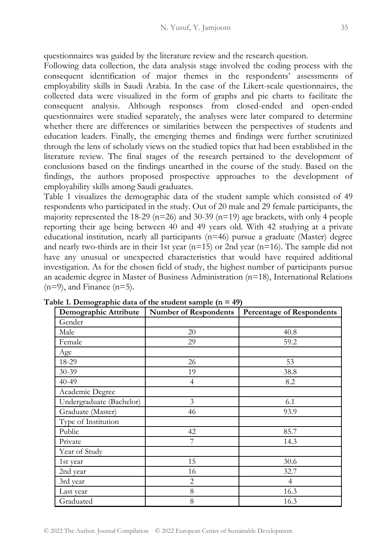questionnaires was guided by the literature review and the research question.

Following data collection, the data analysis stage involved the coding process with the consequent identification of major themes in the respondents' assessments of employability skills in Saudi Arabia. In the case of the Likert-scale questionnaires, the collected data were visualized in the form of graphs and pie charts to facilitate the consequent analysis. Although responses from closed-ended and open-ended questionnaires were studied separately, the analyses were later compared to determine whether there are differences or similarities between the perspectives of students and education leaders. Finally, the emerging themes and findings were further scrutinized through the lens of scholarly views on the studied topics that had been established in the literature review. The final stages of the research pertained to the development of conclusions based on the findings unearthed in the course of the study. Based on the findings, the authors proposed prospective approaches to the development of employability skills among Saudi graduates.

Table 1 visualizes the demographic data of the student sample which consisted of 49 respondents who participated in the study. Out of 20 male and 29 female participants, the majority represented the 18-29 ( $n=26$ ) and 30-39 ( $n=19$ ) age brackets, with only 4 people reporting their age being between 40 and 49 years old. With 42 studying at a private educational institution, nearly all participants (n=46) pursue a graduate (Master) degree and nearly two-thirds are in their 1st year  $(n=15)$  or 2nd year  $(n=16)$ . The sample did not have any unusual or unexpected characteristics that would have required additional investigation. As for the chosen field of study, the highest number of participants pursue an academic degree in Master of Business Administration (n=18), International Relations  $(n=9)$ , and Finance  $(n=5)$ .

| Demographic Attribute    | <b>Number of Respondents</b> | <b>Percentage of Respondents</b> |  |  |
|--------------------------|------------------------------|----------------------------------|--|--|
| Gender                   |                              |                                  |  |  |
| Male                     | 20                           | 40.8                             |  |  |
| Female                   | 29                           | 59.2                             |  |  |
| Age                      |                              |                                  |  |  |
| 18-29                    | 26                           | 53                               |  |  |
| $30 - 39$                | 19                           | 38.8                             |  |  |
| $40 - 49$                | $\overline{4}$               | 8.2                              |  |  |
| Academic Degree          |                              |                                  |  |  |
| Undergraduate (Bachelor) | 3                            | 6.1                              |  |  |
| Graduate (Master)        | 46                           | 93.9                             |  |  |
| Type of Institution      |                              |                                  |  |  |
| Public                   | 42                           | 85.7                             |  |  |
| Private                  | 7                            | 14.3                             |  |  |
| Year of Study            |                              |                                  |  |  |
| 1st year                 | 15                           | 30.6                             |  |  |
| 2nd year                 | 16                           | 32.7                             |  |  |
| 3rd year                 | $\overline{2}$               | $\overline{4}$                   |  |  |
| Last year                | $\,8\,$                      | 16.3                             |  |  |
| Graduated                | 8                            | 16.3                             |  |  |

**Table 1. Demographic data of the student sample (n = 49)**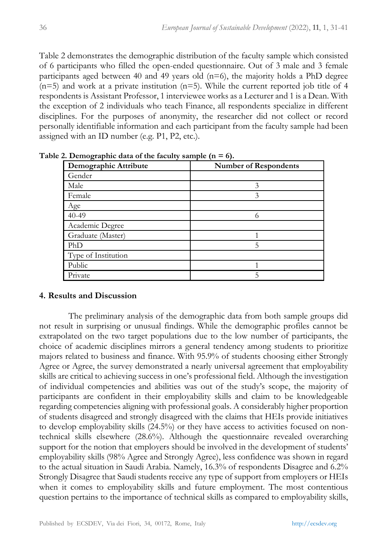Table 2 demonstrates the demographic distribution of the faculty sample which consisted of 6 participants who filled the open-ended questionnaire. Out of 3 male and 3 female participants aged between 40 and 49 years old  $(n=6)$ , the majority holds a PhD degree  $(n=5)$  and work at a private institution  $(n=5)$ . While the current reported job title of 4 respondents is Assistant Professor, 1 interviewee works as a Lecturer and 1 is a Dean. With the exception of 2 individuals who teach Finance, all respondents specialize in different disciplines. For the purposes of anonymity, the researcher did not collect or record personally identifiable information and each participant from the faculty sample had been assigned with an ID number (e.g. P1, P2, etc.).

| Demographic Attribute | <b>Number of Respondents</b> |  |  |
|-----------------------|------------------------------|--|--|
| Gender                |                              |  |  |
| Male                  | 3                            |  |  |
| Female                | 3                            |  |  |
| Age                   |                              |  |  |
| $40 - 49$             |                              |  |  |
| Academic Degree       |                              |  |  |
| Graduate (Master)     |                              |  |  |
| PhD                   | 5                            |  |  |
| Type of Institution   |                              |  |  |
| Public                |                              |  |  |
| Private               | 5                            |  |  |

**Table 2. Demographic data of the faculty sample (n = 6).**

## **4. Results and Discussion**

The preliminary analysis of the demographic data from both sample groups did not result in surprising or unusual findings. While the demographic profiles cannot be extrapolated on the two target populations due to the low number of participants, the choice of academic disciplines mirrors a general tendency among students to prioritize majors related to business and finance. With 95.9% of students choosing either Strongly Agree or Agree, the survey demonstrated a nearly universal agreement that employability skills are critical to achieving success in one's professional field. Although the investigation of individual competencies and abilities was out of the study's scope, the majority of participants are confident in their employability skills and claim to be knowledgeable regarding competencies aligning with professional goals. A considerably higher proportion of students disagreed and strongly disagreed with the claims that HEIs provide initiatives to develop employability skills (24.5%) or they have access to activities focused on nontechnical skills elsewhere (28.6%). Although the questionnaire revealed overarching support for the notion that employers should be involved in the development of students' employability skills (98% Agree and Strongly Agree), less confidence was shown in regard to the actual situation in Saudi Arabia. Namely, 16.3% of respondents Disagree and 6.2% Strongly Disagree that Saudi students receive any type of support from employers or HEIs when it comes to employability skills and future employment. The most contentious question pertains to the importance of technical skills as compared to employability skills,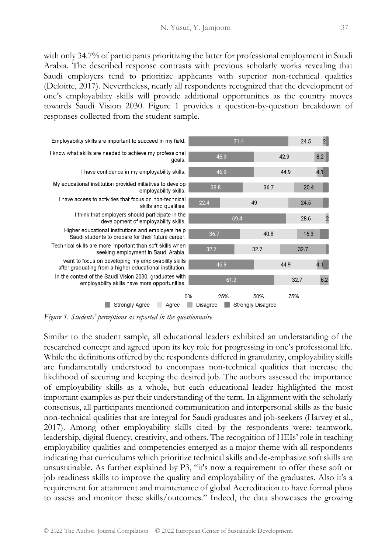with only 34.7% of participants prioritizing the latter for professional employment in Saudi Arabia. The described response contrasts with previous scholarly works revealing that Saudi employers tend to prioritize applicants with superior non-technical qualities (Deloitte, 2017). Nevertheless, nearly all respondents recognized that the development of one's employability skills will provide additional opportunities as the country moves towards Saudi Vision 2030. Figure 1 provides a question-by-question breakdown of responses collected from the student sample.



*Figure 1. Students' perceptions as reported in the questionnaire*

Similar to the student sample, all educational leaders exhibited an understanding of the researched concept and agreed upon its key role for progressing in one's professional life. While the definitions offered by the respondents differed in granularity, employability skills are fundamentally understood to encompass non-technical qualities that increase the likelihood of securing and keeping the desired job. The authors assessed the importance of employability skills as a whole, but each educational leader highlighted the most important examples as per their understanding of the term. In alignment with the scholarly consensus, all participants mentioned communication and interpersonal skills as the basic non-technical qualities that are integral for Saudi graduates and job-seekers (Harvey et al., 2017). Among other employability skills cited by the respondents were: teamwork, leadership, digital fluency, creativity, and others. The recognition of HEIs' role in teaching employability qualities and competencies emerged as a major theme with all respondents indicating that curriculums which prioritize technical skills and de-emphasize soft skills are unsustainable. As further explained by P3, "it's now a requirement to offer these soft or job readiness skills to improve the quality and employability of the graduates. Also it's a requirement for attainment and maintenance of global Accreditation to have formal plans to assess and monitor these skills/outcomes." Indeed, the data showcases the growing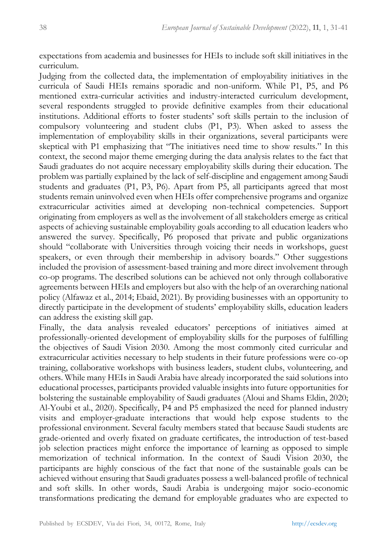expectations from academia and businesses for HEIs to include soft skill initiatives in the curriculum.

Judging from the collected data, the implementation of employability initiatives in the curricula of Saudi HEIs remains sporadic and non-uniform. While P1, P5, and P6 mentioned extra-curricular activities and industry-interacted curriculum development, several respondents struggled to provide definitive examples from their educational institutions. Additional efforts to foster students' soft skills pertain to the inclusion of compulsory volunteering and student clubs (P1, P3). When asked to assess the implementation of employability skills in their organizations, several participants were skeptical with P1 emphasizing that "The initiatives need time to show results." In this context, the second major theme emerging during the data analysis relates to the fact that Saudi graduates do not acquire necessary employability skills during their education. The problem was partially explained by the lack of self-discipline and engagement among Saudi students and graduates (P1, P3, P6). Apart from P5, all participants agreed that most students remain uninvolved even when HEIs offer comprehensive programs and organize extracurricular activities aimed at developing non-technical competencies. Support originating from employers as well as the involvement of all stakeholders emerge as critical aspects of achieving sustainable employability goals according to all education leaders who answered the survey. Specifically, P6 proposed that private and public organizations should "collaborate with Universities through voicing their needs in workshops, guest speakers, or even through their membership in advisory boards." Other suggestions included the provision of assessment-based training and more direct involvement through co-op programs. The described solutions can be achieved not only through collaborative agreements between HEIs and employers but also with the help of an overarching national policy (Alfawaz et al., 2014; Ebaid, 2021). By providing businesses with an opportunity to directly participate in the development of students' employability skills, education leaders can address the existing skill gap.

Finally, the data analysis revealed educators' perceptions of initiatives aimed at professionally-oriented development of employability skills for the purposes of fulfilling the objectives of Saudi Vision 2030. Among the most commonly cited curricular and extracurricular activities necessary to help students in their future professions were co-op training, collaborative workshops with business leaders, student clubs, volunteering, and others. While many HEIs in Saudi Arabia have already incorporated the said solutions into educational processes, participants provided valuable insights into future opportunities for bolstering the sustainable employability of Saudi graduates (Aloui and Shams Eldin, 2020; Al-Youbi et al., 2020). Specifically, P4 and P5 emphasized the need for planned industry visits and employer-graduate interactions that would help expose students to the professional environment. Several faculty members stated that because Saudi students are grade-oriented and overly fixated on graduate certificates, the introduction of test-based job selection practices might enforce the importance of learning as opposed to simple memorization of technical information. In the context of Saudi Vision 2030, the participants are highly conscious of the fact that none of the sustainable goals can be achieved without ensuring that Saudi graduates possess a well-balanced profile of technical and soft skills. In other words, Saudi Arabia is undergoing major socio-economic transformations predicating the demand for employable graduates who are expected to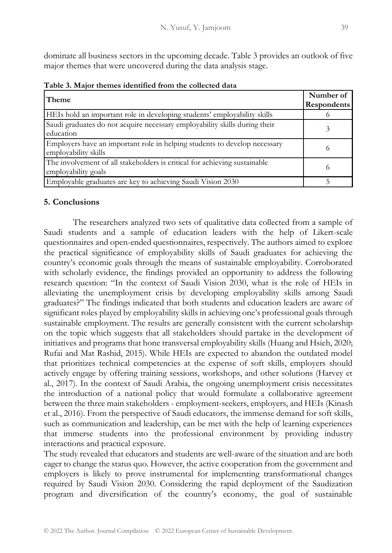dominate all business sectors in the upcoming decade. Table 3 provides an outlook of five major themes that were uncovered during the data analysis stage.

|  |  |  | Table 3. Major themes identified from the collected data |  |  |  |  |
|--|--|--|----------------------------------------------------------|--|--|--|--|
|--|--|--|----------------------------------------------------------|--|--|--|--|

| Theme                                                                                             | Number of<br>Respondents |
|---------------------------------------------------------------------------------------------------|--------------------------|
| HEIs hold an important role in developing students' employability skills                          |                          |
| Saudi graduates do not acquire necessary employability skills during their<br>education           |                          |
| Employers have an important role in helping students to develop necessary<br>employability skills | $\Omega$                 |
| The involvement of all stakeholders is critical for achieving sustainable<br>employability goals  | $\Omega$                 |
| Employable graduates are key to achieving Saudi Vision 2030                                       |                          |

## **5. Conclusions**

The researchers analyzed two sets of qualitative data collected from a sample of Saudi students and a sample of education leaders with the help of Likert-scale questionnaires and open-ended questionnaires, respectively. The authors aimed to explore the practical significance of employability skills of Saudi graduates for achieving the country's economic goals through the means of sustainable employability. Corroborated with scholarly evidence, the findings provided an opportunity to address the following research question: "In the context of Saudi Vision 2030, what is the role of HEIs in alleviating the unemployment crisis by developing employability skills among Saudi graduates?" The findings indicated that both students and education leaders are aware of significant roles played by employability skills in achieving one's professional goals through sustainable employment. The results are generally consistent with the current scholarship on the topic which suggests that all stakeholders should partake in the development of initiatives and programs that hone transversal employability skills (Huang and Hsieh, 2020; Rufai and Mat Rashid, 2015). While HEIs are expected to abandon the outdated model that prioritizes technical competencies at the expense of soft skills, employers should actively engage by offering training sessions, workshops, and other solutions (Harvey et al., 2017). In the context of Saudi Arabia, the ongoing unemployment crisis necessitates the introduction of a national policy that would formulate a collaborative agreement between the three main stakeholders - employment-seekers, employers, and HEIs (Kinash et al., 2016). From the perspective of Saudi educators, the immense demand for soft skills, such as communication and leadership, can be met with the help of learning experiences that immerse students into the professional environment by providing industry interactions and practical exposure.

The study revealed that educators and students are well-aware of the situation and are both eager to change the status quo. However, the active cooperation from the government and employers is likely to prove instrumental for implementing transformational changes required by Saudi Vision 2030. Considering the rapid deployment of the Saudization program and diversification of the country's economy, the goal of sustainable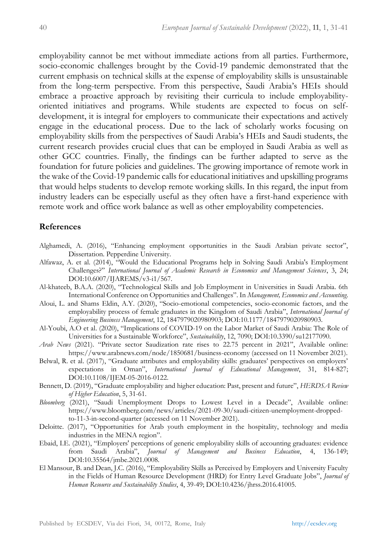employability cannot be met without immediate actions from all parties. Furthermore, socio-economic challenges brought by the Covid-19 pandemic demonstrated that the current emphasis on technical skills at the expense of employability skills is unsustainable from the long-term perspective. From this perspective, Saudi Arabia's HEIs should embrace a proactive approach by revisiting their curricula to include employabilityoriented initiatives and programs. While students are expected to focus on selfdevelopment, it is integral for employers to communicate their expectations and actively engage in the educational process. Due to the lack of scholarly works focusing on employability skills from the perspectives of Saudi Arabia's HEIs and Saudi students, the current research provides crucial clues that can be employed in Saudi Arabia as well as other GCC countries. Finally, the findings can be further adapted to serve as the foundation for future policies and guidelines. The growing importance of remote work in the wake of the Covid-19 pandemic calls for educational initiatives and upskilling programs that would helps students to develop remote working skills. In this regard, the input from industry leaders can be especially useful as they often have a first-hand experience with remote work and office work balance as well as other employability competencies.

#### **References**

- Alghamedi, A. (2016), "Enhancing employment opportunities in the Saudi Arabian private sector", Dissertation. Pepperdine University.
- Alfawaz, A. et al. (2014), "Would the Educational Programs help in Solving Saudi Arabia's Employment Challenges?" *International Journal of Academic Research in Economics and Management Sciences*, 3, 24; DOI:10.6007/IJAREMS/v3-i1/567.
- Al-khateeb, B.A.A. (2020), "Technological Skills and Job Employment in Universities in Saudi Arabia. 6th International Conference on Opportunities and Challenges". In *Management, Economics and Accounting*.
- Aloui, L. and Shams Eldin, A.Y. (2020), "Socio-emotional competencies, socio-economic factors, and the employability process of female graduates in the Kingdom of Saudi Arabia", *International Journal of Engineering Business Management*, 12, 1847979020980903; DOI:10.1177/1847979020980903.
- Al-Youbi, A.O et al. (2020), "Implications of COVID-19 on the Labor Market of Saudi Arabia: The Role of Universities for a Sustainable Workforce", *Sustainability*, 12, 7090; DOI:10.3390/su12177090.
- *Arab News* (2021). "Private sector Saudization rate rises to 22.75 percent in 2021", Available online: https://www.arabnews.com/node/1850681/business-economy (accessed on 11 November 2021).
- Belwal, R. et al. (2017), "Graduate attributes and employability skills: graduates' perspectives on employers' expectations in Oman", *International Journal of Educational Management*, 31, 814-827; DOI:10.1108/IJEM-05-2016-0122.
- Bennett, D. (2019), "Graduate employability and higher education: Past, present and future", *HERDSA Review of Higher Education*, 5, 31-61.
- *Bloomberg* (2021), "Saudi Unemployment Drops to Lowest Level in a Decade", Available online: https://www.bloomberg.com/news/articles/2021-09-30/saudi-citizen-unemployment-droppedto-11-3-in-second-quarter (accessed on 11 November 2021).
- Deloitte. (2017), "Opportunities for Arab youth employment in the hospitality, technology and media industries in the MENA region".
- Ebaid, I.E. (2021), "Employers' perceptions of generic employability skills of accounting graduates: evidence from Saudi Arabia", *Journal of Management and Business Education*, 4, 136-149; DOI:10.35564/jmbe.2021.0008.
- El Mansour, B. and Dean, J.C. (2016), "Employability Skills as Perceived by Employers and University Faculty in the Fields of Human Resource Development (HRD) for Entry Level Graduate Jobs", *Journal of Human Resource and Sustainability Studies*, 4, 39-49; DOI:10.4236/jhrss.2016.41005.